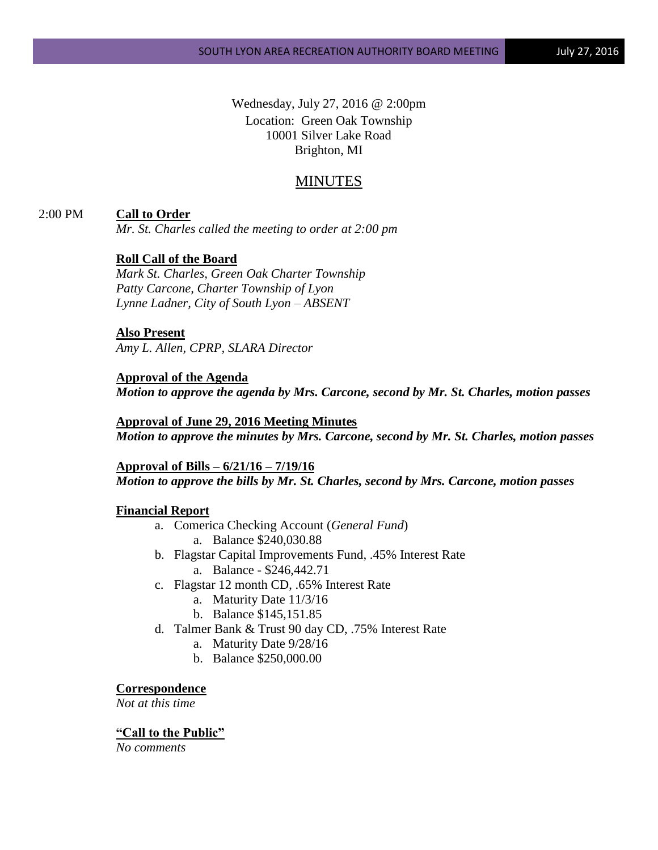Wednesday, July 27, 2016 @ 2:00pm Location: Green Oak Township 10001 Silver Lake Road Brighton, MI

# MINUTES

## 2:00 PM **Call to Order**

*Mr. St. Charles called the meeting to order at 2:00 pm*

## **Roll Call of the Board**

*Mark St. Charles, Green Oak Charter Township Patty Carcone, Charter Township of Lyon Lynne Ladner, City of South Lyon – ABSENT* 

#### **Also Present**

*Amy L. Allen, CPRP, SLARA Director*

## **Approval of the Agenda**

*Motion to approve the agenda by Mrs. Carcone, second by Mr. St. Charles, motion passes*

### **Approval of June 29, 2016 Meeting Minutes**

*Motion to approve the minutes by Mrs. Carcone, second by Mr. St. Charles, motion passes*

**Approval of Bills – 6/21/16 – 7/19/16** *Motion to approve the bills by Mr. St. Charles, second by Mrs. Carcone, motion passes*

#### **Financial Report**

- a. Comerica Checking Account (*General Fund*) a. Balance \$240,030.88
- b. Flagstar Capital Improvements Fund, .45% Interest Rate a. Balance - \$246,442.71
- c. Flagstar 12 month CD, .65% Interest Rate
	- a. Maturity Date 11/3/16
	- b. Balance \$145,151.85
- d. Talmer Bank & Trust 90 day CD, .75% Interest Rate
	- a. Maturity Date 9/28/16
	- b. Balance \$250,000.00

#### **Correspondence**

*Not at this time*

#### **"Call to the Public"**

*No comments*